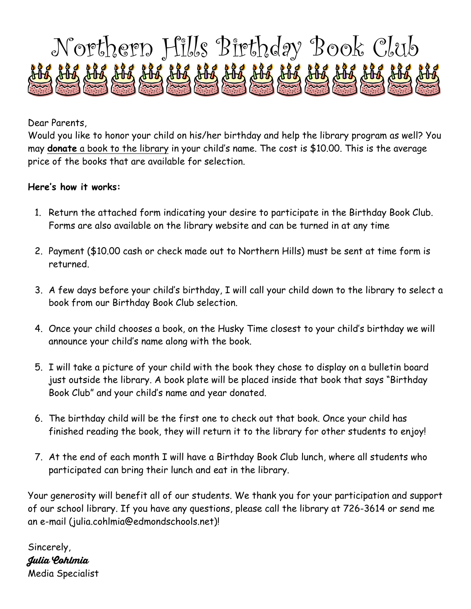

Dear Parents,

Would you like to honor your child on his/her birthday and help the library program as well? You may **donate** a book to the library in your child's name. The cost is \$10.00. This is the average price of the books that are available for selection.

## **Here's how it works:**

- 1. Return the attached form indicating your desire to participate in the Birthday Book Club. Forms are also available on the library website and can be turned in at any time
- 2. Payment (\$10.00 cash or check made out to Northern Hills) must be sent at time form is returned.
- 3. A few days before your child's birthday, I will call your child down to the library to select a book from our Birthday Book Club selection.
- 4. Once your child chooses a book, on the Husky Time closest to your child's birthday we will announce your child's name along with the book.
- 5. I will take a picture of your child with the book they chose to display on a bulletin board just outside the library. A book plate will be placed inside that book that says "Birthday Book Club" and your child's name and year donated.
- 6. The birthday child will be the first one to check out that book. Once your child has finished reading the book, they will return it to the library for other students to enjoy!
- 7. At the end of each month I will have a Birthday Book Club lunch, where all students who participated can bring their lunch and eat in the library.

Your generosity will benefit all of our students. We thank you for your participation and support of our school library. If you have any questions, please call the library at 726-3614 or send me an e-mail (julia.cohlmia@edmondschools.net)!

Sincerely, **Julia Cohlmia** Media Specialist